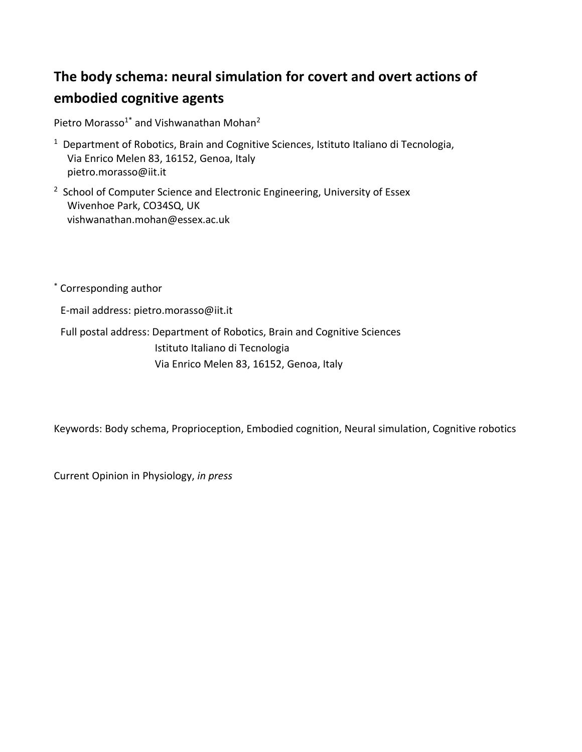# **The body schema: neural simulation for covert and overt actions of embodied cognitive agents**

```
Pietro Morasso<sup>1*</sup> and Vishwanathan Mohan<sup>2</sup>
```
- <sup>1</sup> Department of Robotics, Brain and Cognitive Sciences, Istituto Italiano di Tecnologia, Via Enrico Melen 83, 16152, Genoa, Italy pietro.morasso@iit.it
- <sup>2</sup> School of Computer Science and Electronic Engineering, University of Essex Wivenhoe Park, CO34SQ, UK vishwanathan.mohan@essex.ac.uk

\* Corresponding author

E-mail address: pietro.morasso@iit.it

Full postal address: Department of Robotics, Brain and Cognitive Sciences Istituto Italiano di Tecnologia Via Enrico Melen 83, 16152, Genoa, Italy

Keywords: Body schema, Proprioception, Embodied cognition, Neural simulation, Cognitive robotics

Current Opinion in Physiology, *in press*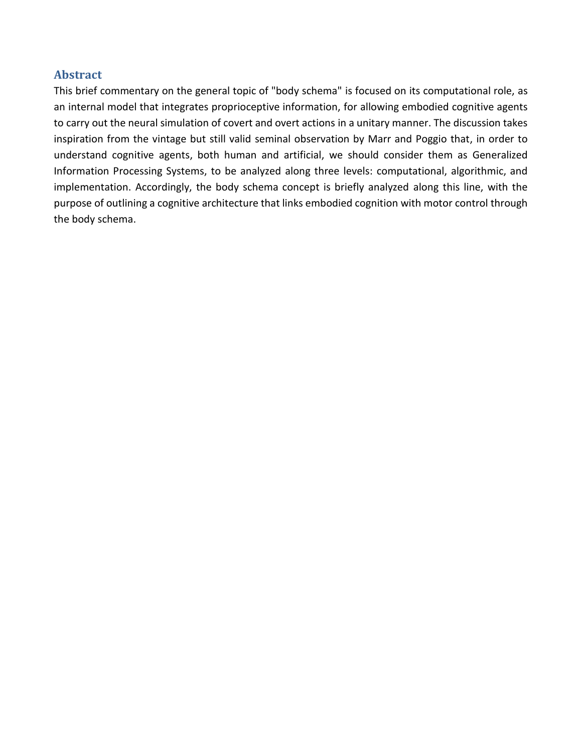### **Abstract**

This brief commentary on the general topic of "body schema" is focused on its computational role, as an internal model that integrates proprioceptive information, for allowing embodied cognitive agents to carry out the neural simulation of covert and overt actions in a unitary manner. The discussion takes inspiration from the vintage but still valid seminal observation by Marr and Poggio that, in order to understand cognitive agents, both human and artificial, we should consider them as Generalized Information Processing Systems, to be analyzed along three levels: computational, algorithmic, and implementation. Accordingly, the body schema concept is briefly analyzed along this line, with the purpose of outlining a cognitive architecture that links embodied cognition with motor control through the body schema.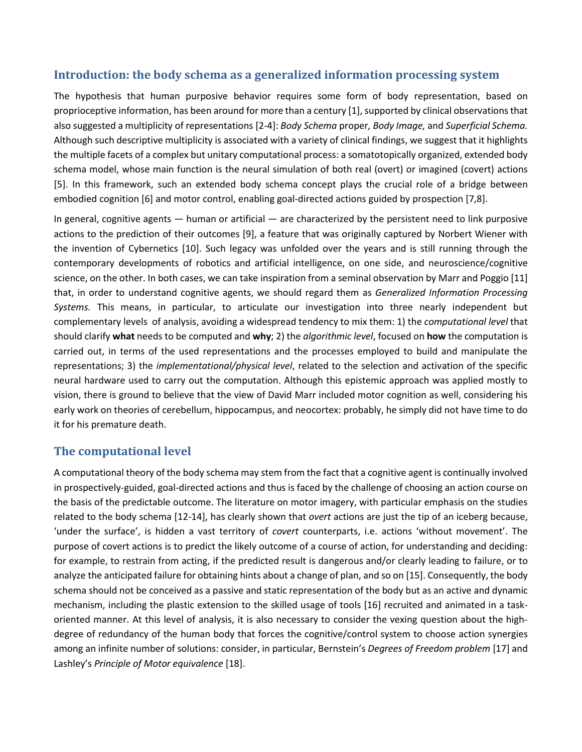### **Introduction: the body schema as a generalized information processing system**

The hypothesis that human purposive behavior requires some form of body representation, based on proprioceptive information, has been around for more than a century [1], supported by clinical observations that also suggested a multiplicity of representations [2-4]: *Body Schema* proper*, Body Image,* and *Superficial Schema.*  Although such descriptive multiplicity is associated with a variety of clinical findings, we suggest that it highlights the multiple facets of a complex but unitary computational process: a somatotopically organized, extended body schema model, whose main function is the neural simulation of both real (overt) or imagined (covert) actions [5]. In this framework, such an extended body schema concept plays the crucial role of a bridge between embodied cognition [6] and motor control, enabling goal-directed actions guided by prospection [7,8].

In general, cognitive agents — human or artificial — are characterized by the persistent need to link purposive actions to the prediction of their outcomes [9], a feature that was originally captured by Norbert Wiener with the invention of Cybernetics [10]. Such legacy was unfolded over the years and is still running through the contemporary developments of robotics and artificial intelligence, on one side, and neuroscience/cognitive science, on the other. In both cases, we can take inspiration from a seminal observation by Marr and Poggio [11] that, in order to understand cognitive agents, we should regard them as *Generalized Information Processing Systems.* This means, in particular, to articulate our investigation into three nearly independent but complementary levels of analysis, avoiding a widespread tendency to mix them: 1) the *computational level* that should clarify **what** needs to be computed and **why**; 2) the *algorithmic level*, focused on **how** the computation is carried out, in terms of the used representations and the processes employed to build and manipulate the representations; 3) the *implementational/physical level*, related to the selection and activation of the specific neural hardware used to carry out the computation. Although this epistemic approach was applied mostly to vision, there is ground to believe that the view of David Marr included motor cognition as well, considering his early work on theories of cerebellum, hippocampus, and neocortex: probably, he simply did not have time to do it for his premature death.

## **The computational level**

A computational theory of the body schema may stem from the fact that a cognitive agent is continually involved in prospectively-guided, goal-directed actions and thus is faced by the challenge of choosing an action course on the basis of the predictable outcome. The literature on motor imagery, with particular emphasis on the studies related to the body schema [12-14], has clearly shown that *overt* actions are just the tip of an iceberg because, 'under the surface', is hidden a vast territory of *covert* counterparts, i.e. actions 'without movement'. The purpose of covert actions is to predict the likely outcome of a course of action, for understanding and deciding: for example, to restrain from acting, if the predicted result is dangerous and/or clearly leading to failure, or to analyze the anticipated failure for obtaining hints about a change of plan, and so on [15]. Consequently, the body schema should not be conceived as a passive and static representation of the body but as an active and dynamic mechanism, including the plastic extension to the skilled usage of tools [16] recruited and animated in a taskoriented manner. At this level of analysis, it is also necessary to consider the vexing question about the highdegree of redundancy of the human body that forces the cognitive/control system to choose action synergies among an infinite number of solutions: consider, in particular, Bernstein's *Degrees of Freedom problem* [17] and Lashley's *Principle of Motor equivalence* [18].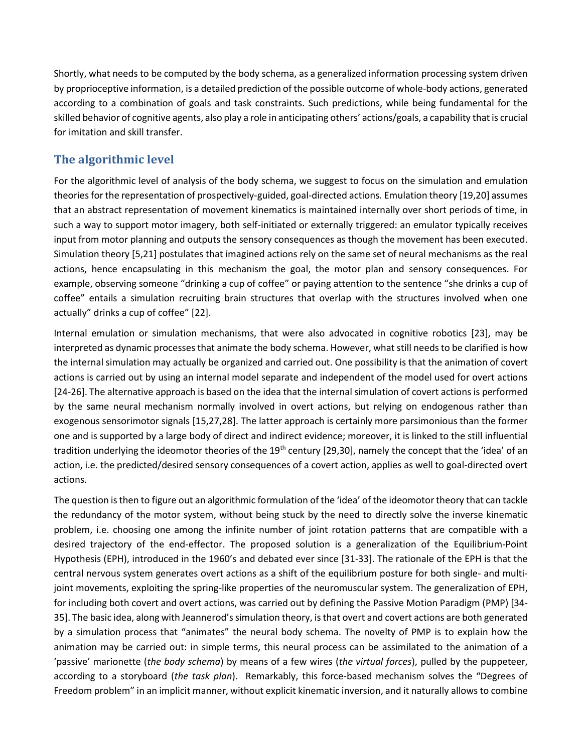Shortly, what needs to be computed by the body schema, as a generalized information processing system driven by proprioceptive information, is a detailed prediction of the possible outcome of whole-body actions, generated according to a combination of goals and task constraints. Such predictions, while being fundamental for the skilled behavior of cognitive agents, also play a role in anticipating others' actions/goals, a capability that is crucial for imitation and skill transfer.

# **The algorithmic level**

For the algorithmic level of analysis of the body schema, we suggest to focus on the simulation and emulation theories for the representation of prospectively-guided, goal-directed actions. Emulation theory [19,20] assumes that an abstract representation of movement kinematics is maintained internally over short periods of time, in such a way to support motor imagery, both self-initiated or externally triggered: an emulator typically receives input from motor planning and outputs the sensory consequences as though the movement has been executed. Simulation theory [5,21] postulates that imagined actions rely on the same set of neural mechanisms as the real actions, hence encapsulating in this mechanism the goal, the motor plan and sensory consequences. For example, observing someone "drinking a cup of coffee" or paying attention to the sentence "she drinks a cup of coffee" entails a simulation recruiting brain structures that overlap with the structures involved when one actually" drinks a cup of coffee" [22].

Internal emulation or simulation mechanisms, that were also advocated in cognitive robotics [23], may be interpreted as dynamic processes that animate the body schema. However, what still needs to be clarified is how the internal simulation may actually be organized and carried out. One possibility is that the animation of covert actions is carried out by using an internal model separate and independent of the model used for overt actions [24-26]. The alternative approach is based on the idea that the internal simulation of covert actions is performed by the same neural mechanism normally involved in overt actions, but relying on endogenous rather than exogenous sensorimotor signals [15,27,28]. The latter approach is certainly more parsimonious than the former one and is supported by a large body of direct and indirect evidence; moreover, it is linked to the still influential tradition underlying the ideomotor theories of the 19<sup>th</sup> century [29,30], namely the concept that the 'idea' of an action, i.e. the predicted/desired sensory consequences of a covert action, applies as well to goal-directed overt actions.

The question is then to figure out an algorithmic formulation of the 'idea' of the ideomotor theory that can tackle the redundancy of the motor system, without being stuck by the need to directly solve the inverse kinematic problem, i.e. choosing one among the infinite number of joint rotation patterns that are compatible with a desired trajectory of the end-effector. The proposed solution is a generalization of the Equilibrium-Point Hypothesis (EPH), introduced in the 1960's and debated ever since [31-33]. The rationale of the EPH is that the central nervous system generates overt actions as a shift of the equilibrium posture for both single- and multijoint movements, exploiting the spring-like properties of the neuromuscular system. The generalization of EPH, for including both covert and overt actions, was carried out by defining the Passive Motion Paradigm (PMP) [34- 35]. The basic idea, along with Jeannerod'ssimulation theory, is that overt and covert actions are both generated by a simulation process that "animates" the neural body schema. The novelty of PMP is to explain how the animation may be carried out: in simple terms, this neural process can be assimilated to the animation of a 'passive' marionette (*the body schema*) by means of a few wires (*the virtual forces*), pulled by the puppeteer, according to a storyboard (*the task plan*). Remarkably, this force-based mechanism solves the "Degrees of Freedom problem" in an implicit manner, without explicit kinematic inversion, and it naturally allows to combine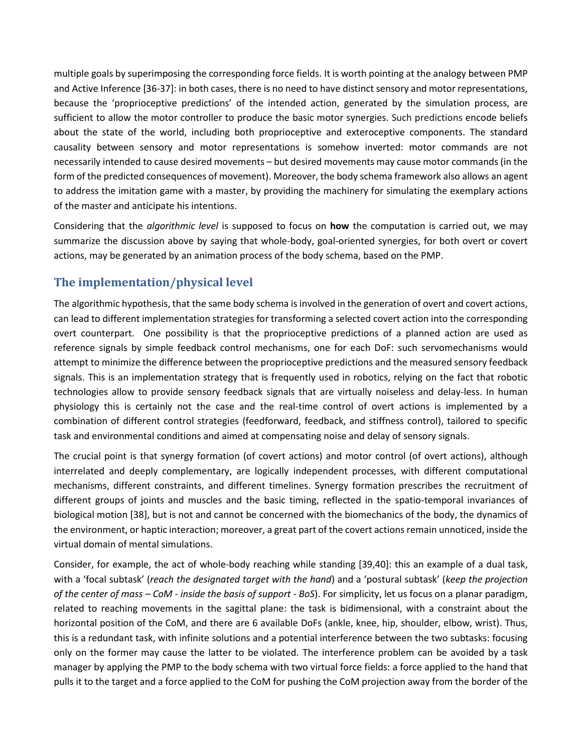multiple goals by superimposing the corresponding force fields. It is worth pointing at the analogy between PMP and Active Inference [36-37]: in both cases, there is no need to have distinct sensory and motor representations, because the 'proprioceptive predictions' of the intended action, generated by the simulation process, are sufficient to allow the motor controller to produce the basic motor synergies. Such predictions encode beliefs about the state of the world, including both proprioceptive and exteroceptive components. The standard causality between sensory and motor representations is somehow inverted: motor commands are not necessarily intended to cause desired movements – but desired movements may cause motor commands (in the form of the predicted consequences of movement). Moreover, the body schema framework also allows an agent to address the imitation game with a master, by providing the machinery for simulating the exemplary actions of the master and anticipate his intentions.

Considering that the *algorithmic level* is supposed to focus on **how** the computation is carried out, we may summarize the discussion above by saying that whole-body, goal-oriented synergies, for both overt or covert actions, may be generated by an animation process of the body schema, based on the PMP.

# **The implementation/physical level**

The algorithmic hypothesis, that the same body schema is involved in the generation of overt and covert actions, can lead to different implementation strategies for transforming a selected covert action into the corresponding overt counterpart. One possibility is that the proprioceptive predictions of a planned action are used as reference signals by simple feedback control mechanisms, one for each DoF: such servomechanisms would attempt to minimize the difference between the proprioceptive predictions and the measured sensory feedback signals. This is an implementation strategy that is frequently used in robotics, relying on the fact that robotic technologies allow to provide sensory feedback signals that are virtually noiseless and delay-less. In human physiology this is certainly not the case and the real-time control of overt actions is implemented by a combination of different control strategies (feedforward, feedback, and stiffness control), tailored to specific task and environmental conditions and aimed at compensating noise and delay of sensory signals.

The crucial point is that synergy formation (of covert actions) and motor control (of overt actions), although interrelated and deeply complementary, are logically independent processes, with different computational mechanisms, different constraints, and different timelines. Synergy formation prescribes the recruitment of different groups of joints and muscles and the basic timing, reflected in the spatio-temporal invariances of biological motion [38], but is not and cannot be concerned with the biomechanics of the body, the dynamics of the environment, or haptic interaction; moreover, a great part of the covert actions remain unnoticed, inside the virtual domain of mental simulations.

Consider, for example, the act of whole-body reaching while standing [39,40]: this an example of a dual task, with a 'focal subtask' (*reach the designated target with the hand*) and a 'postural subtask' (*keep the projection of the center of mass – CoM - inside the basis of support - BoS*). For simplicity, let us focus on a planar paradigm, related to reaching movements in the sagittal plane: the task is bidimensional, with a constraint about the horizontal position of the CoM, and there are 6 available DoFs (ankle, knee, hip, shoulder, elbow, wrist). Thus, this is a redundant task, with infinite solutions and a potential interference between the two subtasks: focusing only on the former may cause the latter to be violated. The interference problem can be avoided by a task manager by applying the PMP to the body schema with two virtual force fields: a force applied to the hand that pulls it to the target and a force applied to the CoM for pushing the CoM projection away from the border of the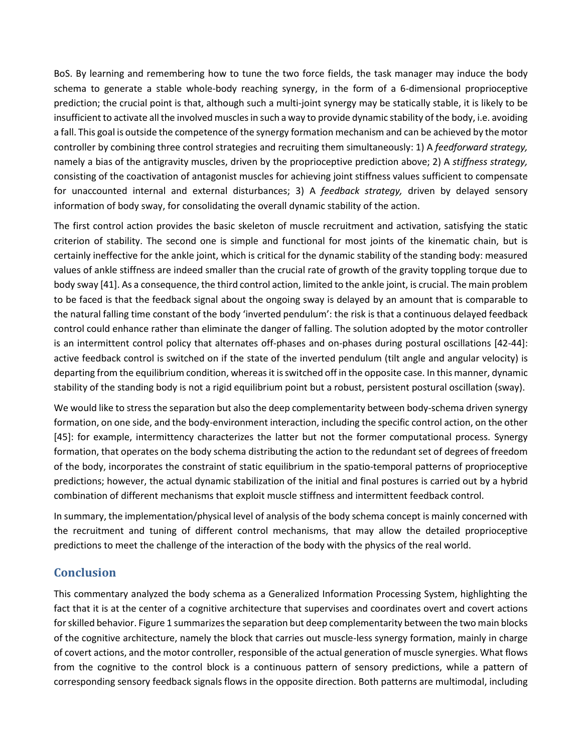BoS. By learning and remembering how to tune the two force fields, the task manager may induce the body schema to generate a stable whole-body reaching synergy, in the form of a 6-dimensional proprioceptive prediction; the crucial point is that, although such a multi-joint synergy may be statically stable, it is likely to be insufficient to activate all the involved muscles in such a way to provide dynamic stability of the body, i.e. avoiding a fall. This goal is outside the competence of the synergy formation mechanism and can be achieved by the motor controller by combining three control strategies and recruiting them simultaneously: 1) A *feedforward strategy,*  namely a bias of the antigravity muscles, driven by the proprioceptive prediction above; 2) A *stiffness strategy,*  consisting of the coactivation of antagonist muscles for achieving joint stiffness values sufficient to compensate for unaccounted internal and external disturbances; 3) A *feedback strategy,* driven by delayed sensory information of body sway, for consolidating the overall dynamic stability of the action.

The first control action provides the basic skeleton of muscle recruitment and activation, satisfying the static criterion of stability. The second one is simple and functional for most joints of the kinematic chain, but is certainly ineffective for the ankle joint, which is critical for the dynamic stability of the standing body: measured values of ankle stiffness are indeed smaller than the crucial rate of growth of the gravity toppling torque due to body sway [41]. As a consequence, the third control action, limited to the ankle joint, is crucial. The main problem to be faced is that the feedback signal about the ongoing sway is delayed by an amount that is comparable to the natural falling time constant of the body 'inverted pendulum': the risk is that a continuous delayed feedback control could enhance rather than eliminate the danger of falling. The solution adopted by the motor controller is an intermittent control policy that alternates off-phases and on-phases during postural oscillations [42-44]: active feedback control is switched on if the state of the inverted pendulum (tilt angle and angular velocity) is departing from the equilibrium condition, whereas it is switched off in the opposite case. In this manner, dynamic stability of the standing body is not a rigid equilibrium point but a robust, persistent postural oscillation (sway).

We would like to stress the separation but also the deep complementarity between body-schema driven synergy formation, on one side, and the body-environment interaction, including the specific control action, on the other [45]: for example, intermittency characterizes the latter but not the former computational process. Synergy formation, that operates on the body schema distributing the action to the redundant set of degrees of freedom of the body, incorporates the constraint of static equilibrium in the spatio-temporal patterns of proprioceptive predictions; however, the actual dynamic stabilization of the initial and final postures is carried out by a hybrid combination of different mechanisms that exploit muscle stiffness and intermittent feedback control.

In summary, the implementation/physical level of analysis of the body schema concept is mainly concerned with the recruitment and tuning of different control mechanisms, that may allow the detailed proprioceptive predictions to meet the challenge of the interaction of the body with the physics of the real world.

## **Conclusion**

This commentary analyzed the body schema as a Generalized Information Processing System, highlighting the fact that it is at the center of a cognitive architecture that supervises and coordinates overt and covert actions for skilled behavior. Figure 1 summarizes the separation but deep complementarity between the two main blocks of the cognitive architecture, namely the block that carries out muscle-less synergy formation, mainly in charge of covert actions, and the motor controller, responsible of the actual generation of muscle synergies. What flows from the cognitive to the control block is a continuous pattern of sensory predictions, while a pattern of corresponding sensory feedback signals flows in the opposite direction. Both patterns are multimodal, including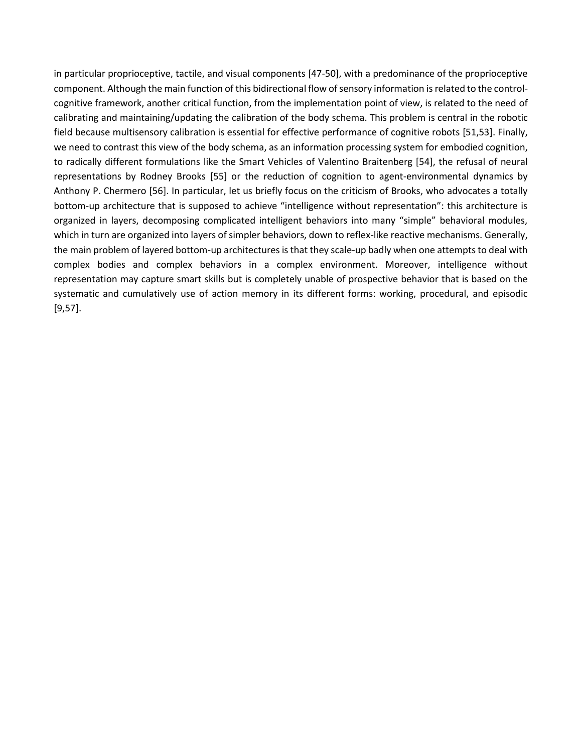in particular proprioceptive, tactile, and visual components [47-50], with a predominance of the proprioceptive component. Although the main function of this bidirectional flow of sensory information is related to the controlcognitive framework, another critical function, from the implementation point of view, is related to the need of calibrating and maintaining/updating the calibration of the body schema. This problem is central in the robotic field because multisensory calibration is essential for effective performance of cognitive robots [51,53]. Finally, we need to contrast this view of the body schema, as an information processing system for embodied cognition, to radically different formulations like the Smart Vehicles of Valentino Braitenberg [54], the refusal of neural representations by Rodney Brooks [55] or the reduction of cognition to agent-environmental dynamics by Anthony P. Chermero [56]. In particular, let us briefly focus on the criticism of Brooks, who advocates a totally bottom-up architecture that is supposed to achieve "intelligence without representation": this architecture is organized in layers, decomposing complicated intelligent behaviors into many "simple" behavioral modules, which in turn are organized into layers of simpler behaviors, down to reflex-like reactive mechanisms. Generally, the main problem of layered bottom-up architectures is that they scale-up badly when one attempts to deal with complex bodies and complex behaviors in a complex environment. Moreover, intelligence without representation may capture smart skills but is completely unable of prospective behavior that is based on the systematic and cumulatively use of action memory in its different forms: working, procedural, and episodic [9,57].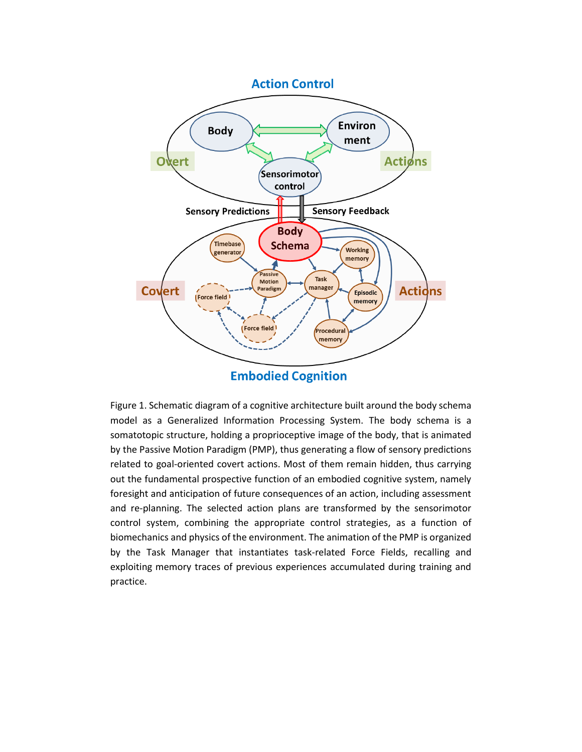

**Embodied Cognition** 

Figure 1. Schematic diagram of a cognitive architecture built around the body schema model as a Generalized Information Processing System. The body schema is a somatotopic structure, holding a proprioceptive image of the body, that is animated by the Passive Motion Paradigm (PMP), thus generating a flow of sensory predictions related to goal-oriented covert actions. Most of them remain hidden, thus carrying out the fundamental prospective function of an embodied cognitive system, namely foresight and anticipation of future consequences of an action, including assessment and re-planning. The selected action plans are transformed by the sensorimotor control system, combining the appropriate control strategies, as a function of biomechanics and physics of the environment. The animation of the PMP is organized by the Task Manager that instantiates task-related Force Fields, recalling and exploiting memory traces of previous experiences accumulated during training and practice.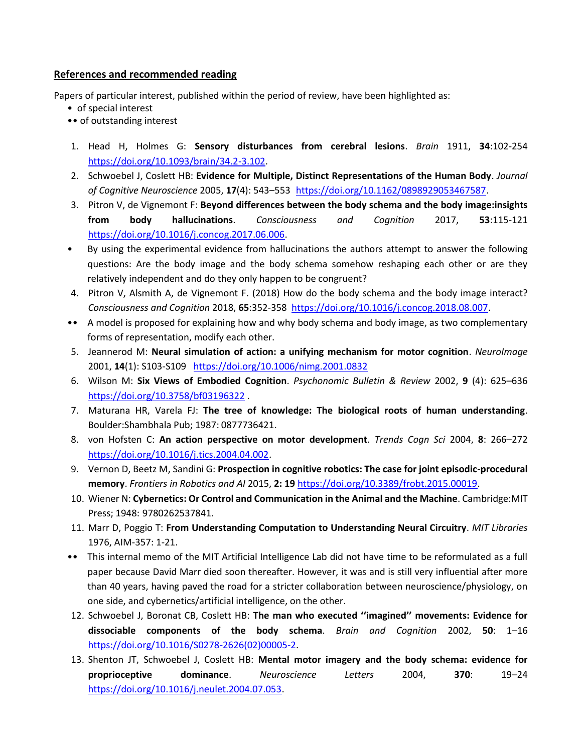#### **References and recommended reading**

Papers of particular interest, published within the period of review, have been highlighted as:

- of special interest
- •• of outstanding interest
- 1. Head H, Holmes G: **Sensory disturbances from cerebral lesions**. *Brain* 1911, **34**:102-254 [https://doi.org/10.1093/brain/34.2-3.102.](https://doi.org/10.1093/brain/34.2-3.102)
- 2. Schwoebel J, Coslett HB: **Evidence for Multiple, Distinct Representations of the Human Body**. *Journal of Cognitive Neuroscience* 2005, **17**(4): 543–553 [https://doi.org/10.1162/0898929053467587.](https://doi.org/10.1162/0898929053467587)
- 3. Pitron V, de Vignemont F: **Beyond differences between the body schema and the body image:insights from body hallucinations**. *Consciousness and Cognition* 2017, **53**:115-121 [https://doi.org/10.1016/j.concog.2017.06.006.](https://doi.org/10.1016/j.concog.2017.06.006)
- By using the experimental evidence from hallucinations the authors attempt to answer the following questions: Are the body image and the body schema somehow reshaping each other or are they relatively independent and do they only happen to be congruent?
- 4. Pitron V, Alsmith A, de Vignemont F. (2018) How do the body schema and the body image interact? *Consciousness and Cognition* 2018, **65**:352-358 [https://doi.org/10.1016/j.concog.2018.08.007.](https://doi.org/10.1016/j.concog.2018.08.007)
- •• A model is proposed for explaining how and why body schema and body image, as two complementary forms of representation, modify each other.
- 5. Jeannerod M: **Neural simulation of action: a unifying mechanism for motor cognition**. *NeuroImage* 2001, **14**(1): S103-S109 <https://doi.org/10.1006/nimg.2001.0832>
- 6. Wilson M: **Six Views of Embodied Cognition**. *Psychonomic Bulletin & Review* 2002, **9** (4): 625–636 <https://doi.org/10.3758/bf03196322> .
- 7. Maturana HR, Varela FJ: **The tree of knowledge: The biological roots of human understanding**. Boulder:Shambhala Pub; 1987: 0877736421.
- 8. von Hofsten C: **An action perspective on motor development**. *Trends Cogn Sci* 2004, **8**: 266–272 [https://doi.org/10.1016/j.tics.2004.04.002.](https://doi.org/10.1016/j.tics.2004.04.002)
- 9. Vernon D, Beetz M, Sandini G: **Prospection in cognitive robotics: The case for joint episodic-procedural memory**. *Frontiers in Robotics and AI* 2015, **2: 19** [https://doi.org/10.3389/frobt.2015.00019.](https://doi.org/10.3389/frobt.2015.00019)
- 10. Wiener N: **Cybernetics: Or Control and Communication in the Animal and the Machine**. Cambridge:MIT Press; 1948: 9780262537841.
- 11. Marr D, Poggio T: **From Understanding Computation to Understanding Neural Circuitry**. *MIT Libraries* 1976, AIM-357: 1-21.
- •• This internal memo of the MIT Artificial Intelligence Lab did not have time to be reformulated as a full paper because David Marr died soon thereafter. However, it was and is still very influential after more than 40 years, having paved the road for a stricter collaboration between neuroscience/physiology, on one side, and cybernetics/artificial intelligence, on the other.
- 12. Schwoebel J, Boronat CB, Coslett HB: **The man who executed ''imagined'' movements: Evidence for dissociable components of the body schema**. *Brain and Cognition* 2002, **50**: 1–16 [https://doi.org/10.1016/S0278-2626\(02\)00005-2.](https://doi.org/10.1016/S0278-2626(02)00005-2)
- 13. Shenton JT, Schwoebel J, Coslett HB: **Mental motor imagery and the body schema: evidence for proprioceptive dominance**. *Neuroscience Letters* 2004, **370**: 19–24 [https://doi.org/10.1016/j.neulet.2004.07.053.](https://doi.org/10.1016/j.neulet.2004.07.053)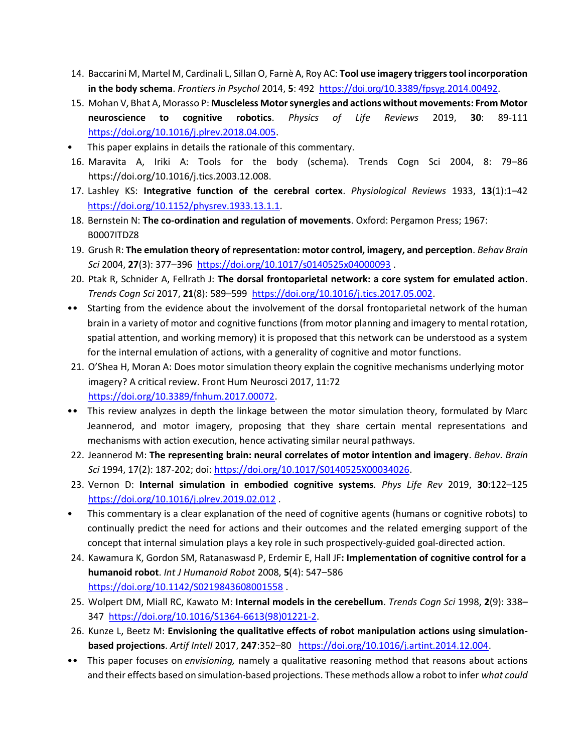- 14. Baccarini M, Martel M, Cardinali L, Sillan O, Farnè A, Roy AC: **Tool use imagery triggers tool incorporation in the body schema**. *Frontiers in Psychol* 2014, **5**: 492 https://doi.org/[10.3389/fpsyg.2014.00492.](https://doi.org/10.3389/fpsyg.2014.00492)
- 15. Mohan V, Bhat A, Morasso P: **Muscleless Motor synergies and actions without movements: From Motor neuroscience to cognitive robotics**. *Physics of Life Reviews* 2019, **30**: 89-111 [https://doi.org/10.1016/j.plrev.2018.04.005.](https://doi.org/10.1016/j.plrev.2018.04.005)
- This paper explains in details the rationale of this commentary.
- 16. Maravita A, Iriki A: Tools for the body (schema). Trends Cogn Sci 2004, 8: 79–86 https://doi.org/10.1016/j.tics.2003.12.008.
- 17. Lashley KS: **Integrative function of the cerebral cortex**. *Physiological Reviews* 1933, **13**(1):1–42 [https://doi.org/10.1152/physrev.1933.13.1.1.](https://doi.org/10.1152/physrev.1933.13.1.1)
- 18. Bernstein N: **The co-ordination and regulation of movements**. Oxford: Pergamon Press; 1967: B0007ITDZ8
- 19. Grush R: **The emulation theory of representation: motor control, imagery, and perception**. *Behav Brain Sci* 2004, **27**(3): 377–396<https://doi.org/10.1017/s0140525x04000093> .
- 20. Ptak R, Schnider A, Fellrath J: **The dorsal frontoparietal network: a core system for emulated action**. *Trends Cogn Sci* 2017, **21**(8): 589–599 [https://doi.org/10.1016/j.tics.2017.05.002.](https://doi.org/10.1016/j.tics.2017.05.002)
- •• Starting from the evidence about the involvement of the dorsal frontoparietal network of the human brain in a variety of motor and cognitive functions (from motor planning and imagery to mental rotation, spatial attention, and working memory) it is proposed that this network can be understood as a system for the internal emulation of actions, with a generality of cognitive and motor functions.
- 21. O'Shea H, Moran A: Does motor simulation theory explain the cognitive mechanisms underlying motor imagery? A critical review. Front Hum Neurosci 2017, 11:72 [https://doi.org/10.3389/fnhum.2017.00072.](https://doi.org/10.3389/fnhum.2017.00072)
- •• This review analyzes in depth the linkage between the motor simulation theory, formulated by Marc Jeannerod, and motor imagery, proposing that they share certain mental representations and mechanisms with action execution, hence activating similar neural pathways.
- 22. Jeannerod M: **The representing brain: neural correlates of motor intention and imagery**. *Behav. Brain Sci* 1994, 17(2): 187-202; doi: [https://doi.org/10.1017/S0140525X00034026.](https://doi.org/10.1017/S0140525X00034026)
- 23. Vernon D: **Internal simulation in embodied cognitive systems***. Phys Life Rev* 2019, **30**:122–125 <https://doi.org/10.1016/j.plrev.2019.02.012> .
- This commentary is a clear explanation of the need of cognitive agents (humans or cognitive robots) to continually predict the need for actions and their outcomes and the related emerging support of the concept that internal simulation plays a key role in such prospectively-guided goal-directed action.
- 24. Kawamura K, Gordon SM, Ratanaswasd P, Erdemir E, Hall JF**: Implementation of cognitive control for a humanoid robot**. *Int J Humanoid Robot* 2008, **5**(4): 547–586 <https://doi.org/10.1142/S0219843608001558>
- 25. Wolpert DM, Miall RC, Kawato M: **Internal models in the cerebellum**. *Trends Cogn Sci* 1998, **2**(9): 338– 347 [https://doi.org/10.1016/S1364-6613\(98\)01221-2.](https://doi.org/10.1016/S1364-6613(98)01221-2)
- 26. Kunze L, Beetz M: **Envisioning the qualitative effects of robot manipulation actions using simulationbased projections**. *Artif Intell* 2017, **247**:352–80 [https://doi.org/10.1016/j.artint.2014.12.004.](https://doi.org/10.1016/j.artint.2014.12.004)
- •• This paper focuses on *envisioning,* namely a qualitative reasoning method that reasons about actions and their effects based on simulation-based projections. These methods allow a robot to infer *what could*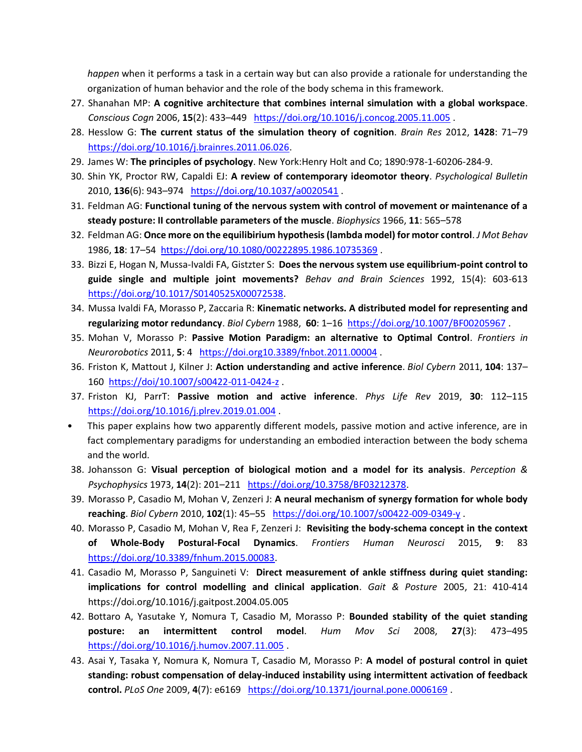*happen* when it performs a task in a certain way but can also provide a rationale for understanding the organization of human behavior and the role of the body schema in this framework.

- 27. Shanahan MP: **A cognitive architecture that combines internal simulation with a global workspace**. *Conscious Cogn* 2006, **15**(2): 433–449 <https://doi.org/10.1016/j.concog.2005.11.005> .
- 28. Hesslow G: **The current status of the simulation theory of cognition**. *Brain Res* 2012, **1428**: 71–79 [https://doi.org/10.1016/j.brainres.2011.06.026.](https://doi.org/10.1016/j.brainres.2011.06.026)
- 29. James W: **The principles of psychology**. New York:Henry Holt and Co; 1890:978-1-60206-284-9.
- 30. Shin YK, Proctor RW, Capaldi EJ: **A review of contemporary ideomotor theory**. *Psychological Bulletin* 2010, **136**(6): 943–974 <https://doi.org/10.1037/a0020541> .
- 31. Feldman AG: **Functional tuning of the nervous system with control of movement or maintenance of a steady posture: II controllable parameters of the muscle**. *Biophysics* 1966, **11**: 565–578
- 32. Feldman AG: **Once more on the equilibirium hypothesis (lambda model) for motor control**. *J Mot Behav* 1986, **18**: 17–54 <https://doi.org/10.1080/00222895.1986.10735369> .
- 33. Bizzi E, Hogan N, Mussa-Ivaldi FA, Gistzter S: **Does the nervous system use equilibrium-point control to guide single and multiple joint movements?** *Behav and Brain Sciences* 1992, 15(4): 603-613 [https://doi.org/10.1017/S0140525X00072538.](https://doi.org/10.1017/S0140525X00072538)
- 34. Mussa Ivaldi FA, Morasso P, Zaccaria R: **Kinematic networks. A distributed model for representing and regularizing motor redundancy**. *Biol Cybern* 1988, **60**: 1–16<https://doi.org/10.1007/BF00205967> .
- 35. Mohan V, Morasso P: **Passive Motion Paradigm: an alternative to Optimal Control**. *Frontiers in Neurorobotics* 2011, **5**: 4 <https://doi.org10.3389/fnbot.2011.00004> .
- 36. Friston K, Mattout J, Kilner J: **Action understanding and active inference**. *Biol Cybern* 2011, **104**: 137– 160 <https://doi/10.1007/s00422-011-0424-z> .
- 37. Friston KJ, ParrT: **Passive motion and active inference**. *Phys Life Rev* 2019, **30**: 112–115 <https://doi.org/10.1016/j.plrev.2019.01.004> .
- This paper explains how two apparently different models, passive motion and active inference, are in fact complementary paradigms for understanding an embodied interaction between the body schema and the world.
- 38. Johansson G: **Visual perception of biological motion and a model for its analysis**. *Perception & Psychophysics* 1973, **14**(2): 201–211 [https://doi.org/10.3758/BF03212378.](https://psycnet.apa.org/doi/10.3758/BF03212378)
- 39. Morasso P, Casadio M, Mohan V, Zenzeri J: **A neural mechanism of synergy formation for whole body reaching**. *Biol Cybern* 2010, **102**(1): 45–55 <https://doi.org/10.1007/s00422-009-0349-y> .
- 40. Morasso P, Casadio M, Mohan V, Rea F, Zenzeri J: **Revisiting the body-schema concept in the context of Whole-Body Postural-Focal Dynamics**. *Frontiers Human Neurosci* 2015, **9**: 83 [https://doi.org/10.3389/fnhum.2015.00083.](https://doi.org/10.3389/fnhum.2015.00083)
- 41. Casadio M, Morasso P, Sanguineti V: **Direct measurement of ankle stiffness during quiet standing: implications for control modelling and clinical application**. *Gait & Posture* 2005, 21: 410-414 https://doi.org/10.1016/j.gaitpost.2004.05.005
- 42. Bottaro A, Yasutake Y, Nomura T, Casadio M, Morasso P: **Bounded stability of the quiet standing posture: an intermittent control model**. *Hum Mov Sci* 2008, **27**(3): 473–495 <https://doi.org/10.1016/j.humov.2007.11.005> .
- 43. Asai Y, Tasaka Y, Nomura K, Nomura T, Casadio M, Morasso P: **A model of postural control in quiet standing: robust compensation of delay-induced instability using intermittent activation of feedback control.** *PLoS One* 2009, **4**(7): e6169 <https://doi.org/10.1371/journal.pone.0006169> .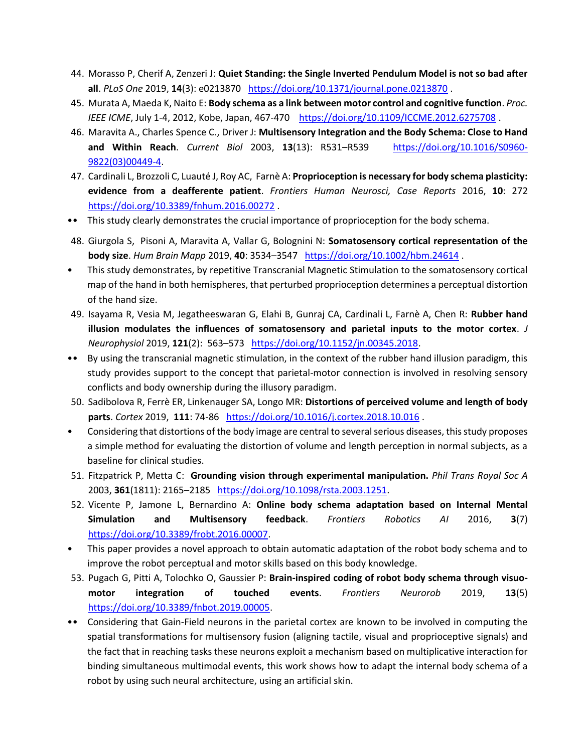- 44. Morasso P, Cherif A, Zenzeri J: **Quiet Standing: the Single Inverted Pendulum Model is not so bad after all**. *PLoS One* 2019, **14**(3): e0213870 <https://doi.org/10.1371/journal.pone.0213870> .
- 45. Murata A, Maeda K, Naito E: **Body schema as a link between motor control and cognitive function**. *Proc. IEEE ICME*, July 1-4, 2012, Kobe, Japan, 467-470 <https://doi.org/10.1109/ICCME.2012.6275708>.
- 46. Maravita A., Charles Spence C., Driver J: **Multisensory Integration and the Body Schema: Close to Hand and Within Reach**. *Current Biol* 2003, **13**(13): R531–R539 [https://doi.org/10.1016/S0960-](https://doi.org/10.1016/S0960-9822(03)00449-4) [9822\(03\)00449-4.](https://doi.org/10.1016/S0960-9822(03)00449-4)
- 47. Cardinali L, Brozzoli C, Luauté J, Roy AC, Farnè A: **Proprioception is necessary for body schema plasticity: evidence from a deafferente patient**. *Frontiers Human Neurosci, Case Reports* 2016, **10**: 272 <https://doi.org/10.3389/fnhum.2016.00272> .
- •• This study clearly demonstrates the crucial importance of proprioception for the body schema.
- 48. Giurgola S, Pisoni A, Maravita A, Vallar G, Bolognini N: **Somatosensory cortical representation of the body size**. *Hum Brain Mapp* 2019, **40**: 3534–3547 <https://doi.org/10.1002/hbm.24614> .
- This study demonstrates, by repetitive Transcranial Magnetic Stimulation to the somatosensory cortical map of the hand in both hemispheres, that perturbed proprioception determines a perceptual distortion of the hand size.
- 49. Isayama R, Vesia M, Jegatheeswaran G, Elahi B, Gunraj CA, Cardinali L, Farnè A, Chen R: **Rubber hand illusion modulates the influences of somatosensory and parietal inputs to the motor cortex**. *J Neurophysiol* 2019, **121**(2): 563–573 [https://doi.org/10.1152/jn.00345.2018.](https://doi.org/10.1152/jn.00345.2018)
- •• By using the transcranial magnetic stimulation, in the context of the rubber hand illusion paradigm, this study provides support to the concept that parietal-motor connection is involved in resolving sensory conflicts and body ownership during the illusory paradigm.
- 50. Sadibolova R, Ferrè ER, Linkenauger SA, Longo MR: **Distortions of perceived volume and length of body parts**. *Cortex* 2019, **111**: 74-86 <https://doi.org/10.1016/j.cortex.2018.10.016> .
- Considering that distortions of the body image are central to several serious diseases, this study proposes a simple method for evaluating the distortion of volume and length perception in normal subjects, as a baseline for clinical studies.
- 51. Fitzpatrick P, Metta C: **Grounding vision through experimental manipulation.** *Phil Trans Royal Soc A* 2003, **361**(1811): 2165–2185 [https://doi.org/10.1098/rsta.2003.1251.](https://doi.org/10.1098/rsta.2003.1251)
- 52. Vicente P, Jamone L, Bernardino A: **Online body schema adaptation based on Internal Mental Simulation and Multisensory feedback**. *Frontiers Robotics AI* 2016, **3**(7) [https://doi.org/10.3389/frobt.2016.00007.](https://doi.org/10.3389/frobt.2016.00007)
- This paper provides a novel approach to obtain automatic adaptation of the robot body schema and to improve the robot perceptual and motor skills based on this body knowledge.
- 53. Pugach G, Pitti A, Tolochko O, Gaussier P: **Brain-inspired coding of robot body schema through visuomotor integration of touched events**. *Frontiers Neurorob* 2019, **13**(5) [https://doi.org/10.3389/fnbot.2019.00005.](https://doi.org/10.3389/fnbot.2019.00005)
- •• Considering that Gain-Field neurons in the parietal cortex are known to be involved in computing the spatial transformations for multisensory fusion (aligning tactile, visual and proprioceptive signals) and the fact that in reaching tasks these neurons exploit a mechanism based on multiplicative interaction for binding simultaneous multimodal events, this work shows how to adapt the internal body schema of a robot by using such neural architecture, using an artificial skin.